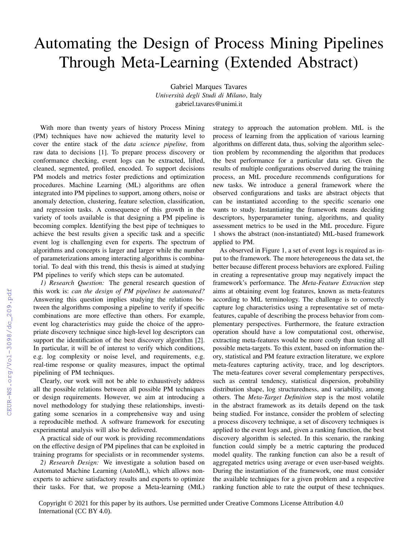## Automating the Design of Process Mining Pipelines Through Meta-Learning (Extended Abstract)

Gabriel Marques Tavares *Universita degli Studi di Milano `* , Italy gabriel.tavares@unimi.it

With more than twenty years of history Process Mining (PM) techniques have now achieved the maturity level to cover the entire stack of the *data science pipeline*, from raw data to decisions [1]. To prepare process discovery or conformance checking, event logs can be extracted, lifted, cleaned, segmented, profiled, encoded. To support decisions PM models and metrics foster predictions and optimization procedures. Machine Learning (ML) algorithms are often integrated into PM pipelines to support, among others, noise or anomaly detection, clustering, feature selection, classification, and regression tasks. A consequence of this growth in the variety of tools available is that designing a PM pipeline is becoming complex. Identifying the best pipe of techniques to achieve the best results given a specific task and a specific event log is challenging even for experts. The spectrum of algorithms and concepts is larger and larger while the number of parameterizations among interacting algorithms is combinatorial. To deal with this trend, this thesis is aimed at studying PM pipelines to verify which steps can be automated.

*1) Research Question:* The general research question of this work is: *can the design of PM pipelines be automated?* Answering this question implies studying the relations between the algorithms composing a pipeline to verify if specific combinations are more effective than others. For example, event log characteristics may guide the choice of the appropriate discovery technique since high-level log descriptors can support the identification of the best discovery algorithm [2]. In particular, it will be of interest to verify which conditions, e.g. log complexity or noise level, and requirements, e.g. real-time response or quality measures, impact the optimal pipelining of PM techniques.

Clearly, our work will not be able to exhaustively address all the possible relations between all possible PM techniques or design requirements. However, we aim at introducing a novel methodology for studying these relationships, investigating some scenarios in a comprehensive way and using a reproducible method. A software framework for executing experimental analysis will also be delivered.

A practical side of our work is providing recommendations on the effective design of PM pipelines that can be exploited in training programs for specialists or in recommender systems.

*2) Research Design:* We investigate a solution based on Automated Machine Learning (AutoML), which allows nonexperts to achieve satisfactory results and experts to optimize their tasks. For that, we propose a Meta-learning (MtL) strategy to approach the automation problem. MtL is the process of learning from the application of various learning algorithms on different data, thus, solving the algorithm selection problem by recommending the algorithm that produces the best performance for a particular data set. Given the results of multiple configurations observed during the training process, an MtL procedure recommends configurations for new tasks. We introduce a general framework where the observed configurations and tasks are abstract objects that can be instantiated according to the specific scenario one wants to study. Instantiating the framework means deciding descriptors, hyperparameter tuning, algorithms, and quality assessment metrics to be used in the MtL procedure. Figure 1 shows the abstract (non-instantiated) MtL-based framework applied to PM.

As observed in Figure 1, a set of event logs is required as input to the framework. The more heterogeneous the data set, the better because different process behaviors are explored. Failing in creating a representative group may negatively impact the framework's performance. The *Meta-Feature Extraction* step aims at obtaining event log features, known as meta-features according to MtL terminology. The challenge is to correctly capture log characteristics using a representative set of metafeatures, capable of describing the process behavior from complementary perspectives. Furthermore, the feature extraction operation should have a low computational cost, otherwise, extracting meta-features would be more costly than testing all possible meta-targets. To this extent, based on information theory, statistical and PM feature extraction literature, we explore meta-features capturing activity, trace, and log descriptors. The meta-features cover several complementary perspectives, such as central tendency, statistical dispersion, probability distribution shape, log structuredness, and variability, among others. The *Meta-Target Definition* step is the most volatile in the abstract framework as its details depend on the task being studied. For instance, consider the problem of selecting a process discovery technique, a set of discovery techniques is applied to the event logs and, given a ranking function, the best discovery algorithm is selected. In this scenario, the ranking function could simply be a metric capturing the produced model quality. The ranking function can also be a result of aggregated metrics using average or even user-based weights. During the instantiation of the framework, one must consider the available techniques for a given problem and a respective ranking function able to rate the output of these techniques.

Copyright © 2021 for this paper by its authors. Use permitted under Creative Commons License Attribution 4.0 International (CC BY 4.0).